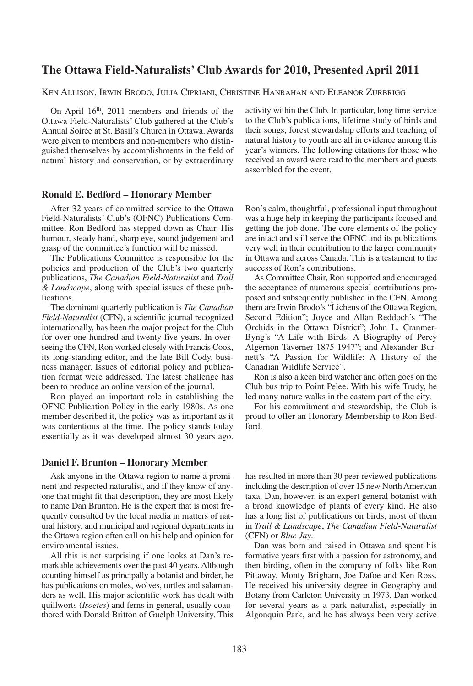# **The Ottawa Field-Naturalists' Club Awards for 2010, Presented April 2011**

KEN ALLISON, IRWIN BRODO, JULIA CIPRIANI, CHRISTINE HANRAHAN AND ELEANOR ZURBRIGG

On April 16th, 2011 members and friends of the Ottawa Field-Naturalists' Club gathered at the Club's Annual Soirée at St. Basil's Church in Ottawa. Awards were given to members and non-members who distinguished themselves by accomplishments in the field of natural history and conservation, or by extraordinary

#### **Ronald E. Bedford – Honorary Member**

After 32 years of committed service to the Ottawa Field-Naturalists' Club's (OFNC) Publications Committee, Ron Bedford has stepped down as Chair. His humour, steady hand, sharp eye, sound judgement and grasp of the committee's function will be missed.

The Publications Committee is responsible for the policies and production of the Club's two quarterly publications, *The Canadian Field-Naturalist* and *Trail & Landscape*, along with special issues of these publications.

The dominant quarterly publication is *The Canadian Field-Naturalist* (CFN), a scientific journal recognized internationally, has been the major project for the Club for over one hundred and twenty-five years. In overseeing the CFN, Ron worked closely with Francis Cook, its long-standing editor, and the late Bill Cody, business manager. Issues of editorial policy and publication format were addressed. The latest challenge has been to produce an online version of the journal.

Ron played an important role in establishing the OFNC Publication Policy in the early 1980s. As one member described it, the policy was as important as it was contentious at the time. The policy stands today essentially as it was developed almost 30 years ago.

### **Daniel F. Brunton – Honorary Member**

Ask anyone in the Ottawa region to name a prominent and respected naturalist, and if they know of anyone that might fit that description, they are most likely to name Dan Brunton. He is the expert that is most frequently consulted by the local media in matters of natural history, and municipal and regional departments in the Ottawa region often call on his help and opinion for environmental issues.

All this is not surprising if one looks at Dan's remarkable achievements over the past 40 years. Although counting himself as principally a botanist and birder, he has publications on moles, wolves, turtles and salamanders as well. His major scientific work has dealt with quillworts (*Isoetes*) and ferns in general, usually coauthored with Donald Britton of Guelph University. This activity within the Club. In particular, long time service to the Club's publications, lifetime study of birds and their songs, forest stewardship efforts and teaching of natural history to youth are all in evidence among this year's winners. The following citations for those who received an award were read to the members and guests assembled for the event.

Ron's calm, thoughtful, professional input throughout was a huge help in keeping the participants focused and getting the job done. The core elements of the policy are intact and still serve the OFNC and its publications very well in their contribution to the larger community in Ottawa and across Canada. This is a testament to the success of Ron's contributions.

As Committee Chair, Ron supported and encouraged the acceptance of numerous special contributions proposed and subsequently published in the CFN. Among them are Irwin Brodo's "Lichens of the Ottawa Region, Second Edition"; Joyce and Allan Reddoch's "The Orchids in the Ottawa District"; John L. Cranmer-Byng's "A Life with Birds: A Biography of Percy Algernon Taverner 1875-1947"; and Alexander Burnett's "A Passion for Wildlife: A History of the Canadian Wildlife Service".

Ron is also a keen bird watcher and often goes on the Club bus trip to Point Pelee. With his wife Trudy, he led many nature walks in the eastern part of the city.

For his commitment and stewardship, the Club is proud to offer an Honorary Membership to Ron Bedford.

has resulted in more than 30 peer-reviewed publications including the description of over 15 new North American taxa. Dan, however, is an expert general botanist with a broad knowledge of plants of every kind. He also has a long list of publications on birds, most of them in *Trail & Landscape*, *The Canadian Field-Naturalist* (CFN) or *Blue Jay*.

Dan was born and raised in Ottawa and spent his formative years first with a passion for astronomy, and then birding, often in the company of folks like Ron Pittaway, Monty Brigham, Joe Dafoe and Ken Ross. He received his university degree in Geography and Botany from Carleton University in 1973. Dan worked for several years as a park naturalist, especially in Algonquin Park, and he has always been very active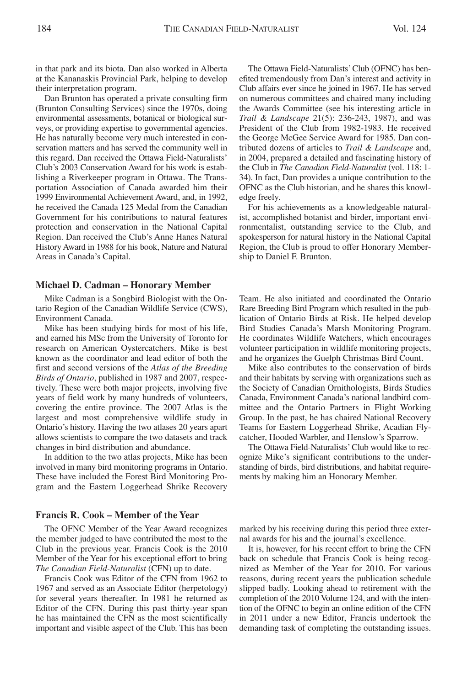in that park and its biota. Dan also worked in Alberta at the Kananaskis Provincial Park, helping to develop their interpretation program.

Dan Brunton has operated a private consulting firm (Brunton Consulting Services) since the 1970s, doing environmental assessments, botanical or biological surveys, or providing expertise to governmental agencies. He has naturally become very much interested in conservation matters and has served the community well in this regard. Dan received the Ottawa Field-Naturalists' Club's 2003 Conservation Award for his work is establishing a Riverkeeper program in Ottawa. The Transportation Association of Canada awarded him their 1999 Environmental Achievement Award, and, in 1992, he received the Canada 125 Medal from the Canadian Government for his contributions to natural features protection and conservation in the National Capital Region. Dan received the Club's Anne Hanes Natural History Award in 1988 for his book, Nature and Natural Areas in Canada's Capital.

#### **Michael D. Cadman – Honorary Member**

Mike Cadman is a Songbird Biologist with the Ontario Region of the Canadian Wildlife Service (CWS), Environment Canada.

Mike has been studying birds for most of his life, and earned his MSc from the University of Toronto for research on American Oystercatchers. Mike is best known as the coordinator and lead editor of both the first and second versions of the *Atlas of the Breeding Birds of Ontario*, published in 1987 and 2007, respectively. These were both major projects, involving five years of field work by many hundreds of volunteers, covering the entire province. The 2007 Atlas is the largest and most comprehensive wildlife study in Ontario's history. Having the two atlases 20 years apart allows scientists to compare the two datasets and track changes in bird distribution and abundance.

In addition to the two atlas projects, Mike has been involved in many bird monitoring programs in Ontario. These have included the Forest Bird Monitoring Program and the Eastern Loggerhead Shrike Recovery

### **Francis R. Cook – Member of the Year**

The OFNC Member of the Year Award recognizes the member judged to have contributed the most to the Club in the previous year. Francis Cook is the 2010 Member of the Year for his exceptional effort to bring *The Canadian Field-Naturalist* (CFN) up to date.

Francis Cook was Editor of the CFN from 1962 to 1967 and served as an Associate Editor (herpetology) for several years thereafter. In 1981 he returned as Editor of the CFN. During this past thirty-year span he has maintained the CFN as the most scientifically important and visible aspect of the Club. This has been

The Ottawa Field-Naturalists'Club (OFNC) has benefited tremendously from Dan's interest and activity in Club affairs ever since he joined in 1967. He has served on numerous committees and chaired many including the Awards Committee (see his interesting article in *Trail & Landscape* 21(5): 236-243, 1987), and was President of the Club from 1982-1983. He received the George McGee Service Award for 1985. Dan contributed dozens of articles to *Trail & Landscape* and, in 2004, prepared a detailed and fascinating history of the Club in *The Canadian Field-Naturalist* (vol. 118: 1- 34). In fact, Dan provides a unique contribution to the OFNC as the Club historian, and he shares this knowledge freely.

For his achievements as a knowledgeable naturalist, accomplished botanist and birder, important environmentalist, outstanding service to the Club, and spokesperson for natural history in the National Capital Region, the Club is proud to offer Honorary Membership to Daniel F. Brunton.

Team. He also initiated and coordinated the Ontario Rare Breeding Bird Program which resulted in the publication of Ontario Birds at Risk. He helped develop Bird Studies Canada's Marsh Monitoring Program. He coordinates Wildlife Watchers, which encourages volunteer participation in wildlife monitoring projects, and he organizes the Guelph Christmas Bird Count.

Mike also contributes to the conservation of birds and their habitats by serving with organizations such as the Society of Canadian Ornithologists, Birds Studies Canada, Environment Canada's national landbird committee and the Ontario Partners in Flight Working Group. In the past, he has chaired National Recovery Teams for Eastern Loggerhead Shrike, Acadian Flycatcher, Hooded Warbler, and Henslow's Sparrow.

The Ottawa Field-Naturalists'Club would like to recognize Mike's significant contributions to the understanding of birds, bird distributions, and habitat requirements by making him an Honorary Member.

marked by his receiving during this period three external awards for his and the journal's excellence.

It is, however, for his recent effort to bring the CFN back on schedule that Francis Cook is being recognized as Member of the Year for 2010. For various reasons, during recent years the publication schedule slipped badly. Looking ahead to retirement with the completion of the 2010 Volume 124, and with the intention of the OFNC to begin an online edition of the CFN in 2011 under a new Editor, Francis undertook the demanding task of completing the outstanding issues.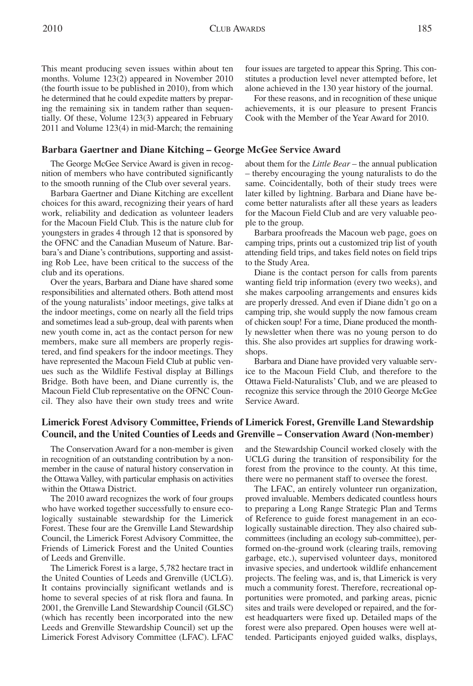This meant producing seven issues within about ten months. Volume 123(2) appeared in November 2010 (the fourth issue to be published in 2010), from which he determined that he could expedite matters by preparing the remaining six in tandem rather than sequentially. Of these, Volume 123(3) appeared in February 2011 and Volume 123(4) in mid-March; the remaining

## **Barbara Gaertner and Diane Kitching – George McGee Service Award**

The George McGee Service Award is given in recognition of members who have contributed significantly to the smooth running of the Club over several years.

Barbara Gaertner and Diane Kitching are excellent choices for this award, recognizing their years of hard work, reliability and dedication as volunteer leaders for the Macoun Field Club. This is the nature club for youngsters in grades 4 through 12 that is sponsored by the OFNC and the Canadian Museum of Nature. Barbara's and Diane's contributions, supporting and assisting Rob Lee, have been critical to the success of the club and its operations.

Over the years, Barbara and Diane have shared some responsibilities and alternated others. Both attend most of the young naturalists' indoor meetings, give talks at the indoor meetings, come on nearly all the field trips and sometimes lead a sub-group, deal with parents when new youth come in, act as the contact person for new members, make sure all members are properly registered, and find speakers for the indoor meetings. They have represented the Macoun Field Club at public venues such as the Wildlife Festival display at Billings Bridge. Both have been, and Diane currently is, the Macoun Field Club representative on the OFNC Council. They also have their own study trees and write

four issues are targeted to appear this Spring. This constitutes a production level never attempted before, let alone achieved in the 130 year history of the journal.

For these reasons, and in recognition of these unique achievements, it is our pleasure to present Francis Cook with the Member of the Year Award for 2010.

about them for the *Little Bear* – the annual publication – thereby encouraging the young naturalists to do the same. Coincidentally, both of their study trees were later killed by lightning. Barbara and Diane have become better naturalists after all these years as leaders for the Macoun Field Club and are very valuable people to the group.

Barbara proofreads the Macoun web page, goes on camping trips, prints out a customized trip list of youth attending field trips, and takes field notes on field trips to the Study Area.

Diane is the contact person for calls from parents wanting field trip information (every two weeks), and she makes carpooling arrangements and ensures kids are properly dressed. And even if Diane didn't go on a camping trip, she would supply the now famous cream of chicken soup! For a time, Diane produced the monthly newsletter when there was no young person to do this. She also provides art supplies for drawing workshops.

Barbara and Diane have provided very valuable service to the Macoun Field Club, and therefore to the Ottawa Field-Naturalists' Club, and we are pleased to recognize this service through the 2010 George McGee Service Award.

# **Limerick Forest Advisory Committee, Friends of Limerick Forest, Grenville Land Stewardship Council, and the United Counties of Leeds and Grenville – Conservation Award (Non-member)**

The Conservation Award for a non-member is given in recognition of an outstanding contribution by a nonmember in the cause of natural history conservation in the Ottawa Valley, with particular emphasis on activities within the Ottawa District.

The 2010 award recognizes the work of four groups who have worked together successfully to ensure ecologically sustainable stewardship for the Limerick Forest. These four are the Grenville Land Stewardship Council, the Limerick Forest Advisory Committee, the Friends of Limerick Forest and the United Counties of Leeds and Grenville.

The Limerick Forest is a large, 5,782 hectare tract in the United Counties of Leeds and Grenville (UCLG). It contains provincially significant wetlands and is home to several species of at risk flora and fauna. In 2001, the Grenville Land Stewardship Council (GLSC) (which has recently been incorporated into the new Leeds and Grenville Stewardship Council) set up the Limerick Forest Advisory Committee (LFAC). LFAC

and the Stewardship Council worked closely with the UCLG during the transition of responsibility for the forest from the province to the county. At this time, there were no permanent staff to oversee the forest.

The LFAC, an entirely volunteer run organization, proved invaluable. Members dedicated countless hours to preparing a Long Range Strategic Plan and Terms of Reference to guide forest management in an ecologically sustainable direction. They also chaired subcommittees (including an ecology sub-committee), performed on-the-ground work (clearing trails, removing garbage, etc.), supervised volunteer days, monitored invasive species, and undertook wildlife enhancement projects. The feeling was, and is, that Limerick is very much a community forest. Therefore, recreational opportunities were promoted, and parking areas, picnic sites and trails were developed or repaired, and the forest headquarters were fixed up. Detailed maps of the forest were also prepared. Open houses were well attended. Participants enjoyed guided walks, displays,